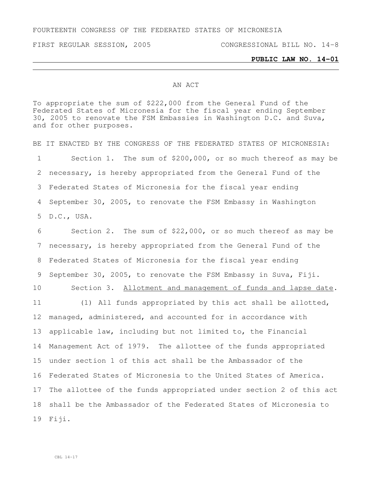FOURTEENTH CONGRESS OF THE FEDERATED STATES OF MICRONESIA

FIRST REGULAR SESSION, 2005 CONGRESSIONAL BILL NO. 14-8

## **PUBLIC LAW NO. 14-01**

## AN ACT

To appropriate the sum of \$222,000 from the General Fund of the Federated States of Micronesia for the fiscal year ending September 30, 2005 to renovate the FSM Embassies in Washington D.C. and Suva, and for other purposes.

BE IT ENACTED BY THE CONGRESS OF THE FEDERATED STATES OF MICRONESIA: Section 1. The sum of \$200,000, or so much thereof as may be necessary, is hereby appropriated from the General Fund of the Federated States of Micronesia for the fiscal year ending September 30, 2005, to renovate the FSM Embassy in Washington D.C., USA.

 Section 2. The sum of \$22,000, or so much thereof as may be necessary, is hereby appropriated from the General Fund of the Federated States of Micronesia for the fiscal year ending September 30, 2005, to renovate the FSM Embassy in Suva, Fiji. Section 3. Allotment and management of funds and lapse date.

 (1) All funds appropriated by this act shall be allotted, managed, administered, and accounted for in accordance with applicable law, including but not limited to, the Financial Management Act of 1979. The allottee of the funds appropriated under section 1 of this act shall be the Ambassador of the Federated States of Micronesia to the United States of America. The allottee of the funds appropriated under section 2 of this act shall be the Ambassador of the Federated States of Micronesia to Fiji.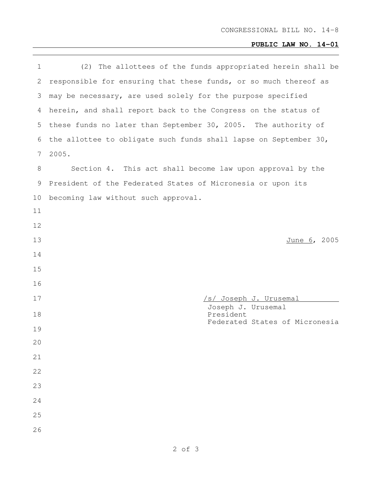## **PUBLIC LAW NO. 14-01**

| $\mathbf 1$ | (2) The allottees of the funds appropriated herein shall be      |
|-------------|------------------------------------------------------------------|
| 2           | responsible for ensuring that these funds, or so much thereof as |
| 3           | may be necessary, are used solely for the purpose specified      |
| 4           | herein, and shall report back to the Congress on the status of   |
| 5           | these funds no later than September 30, 2005. The authority of   |
| 6           | the allottee to obligate such funds shall lapse on September 30, |
| 7           | 2005.                                                            |
| 8           | Section 4. This act shall become law upon approval by the        |
| 9           | President of the Federated States of Micronesia or upon its      |
| 10          | becoming law without such approval.                              |
| 11          |                                                                  |
| 12          |                                                                  |
| 13          | June 6, 2005                                                     |
| 14          |                                                                  |
| 15          |                                                                  |
| 16          |                                                                  |
| 17          | /s/ Joseph J. Urusemal                                           |
| 18          | Joseph J. Urusemal<br>President                                  |
| 19          | Federated States of Micronesia                                   |
| 20          |                                                                  |
| 21          |                                                                  |
| 22          |                                                                  |
| 23          |                                                                  |
| 24          |                                                                  |
| 25          |                                                                  |
| 26          |                                                                  |